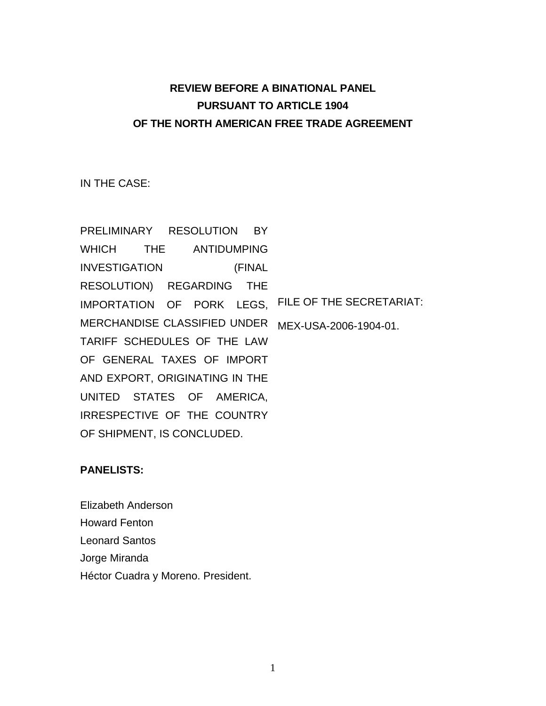## **REVIEW BEFORE A BINATIONAL PANEL PURSUANT TO ARTICLE 1904 OF THE NORTH AMERICAN FREE TRADE AGREEMENT**

IN THE CASE:

PRELIMINARY RESOLUTION BY WHICH THE ANTIDUMPING INVESTIGATION (FINAL RESOLUTION) REGARDING THE IMPORTATION OF PORK LEGS, FILE OF THE SECRETARIAT: MERCHANDISE CLASSIFIED UNDER MEX-USA-2006-1904-01. TARIFF SCHEDULES OF THE LAW OF GENERAL TAXES OF IMPORT AND EXPORT, ORIGINATING IN THE UNITED STATES OF AMERICA, IRRESPECTIVE OF THE COUNTRY OF SHIPMENT, IS CONCLUDED.

## **PANELISTS:**

Elizabeth Anderson Howard Fenton Leonard Santos Jorge Miranda Héctor Cuadra y Moreno. President.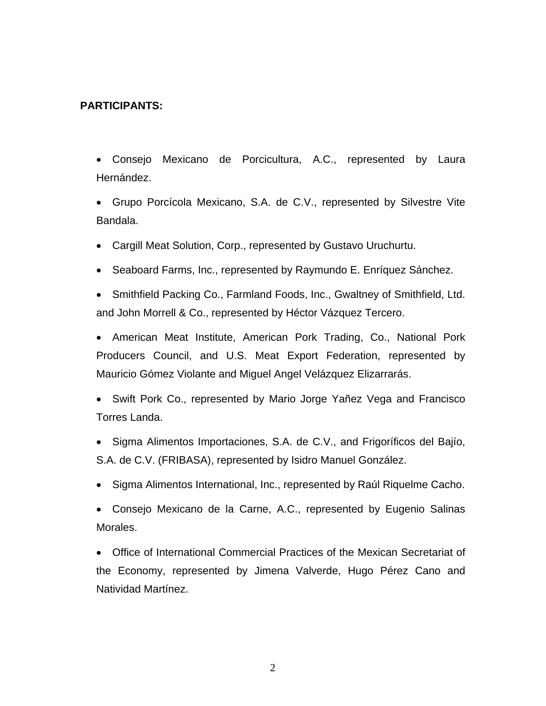### **PARTICIPANTS:**

• Consejo Mexicano de Porcicultura, A.C., represented by Laura Hernández.

• Grupo Porcícola Mexicano, S.A. de C.V., represented by Silvestre Vite Bandala.

• Cargill Meat Solution, Corp., represented by Gustavo Uruchurtu.

• Seaboard Farms, Inc., represented by Raymundo E. Enríquez Sánchez.

• Smithfield Packing Co., Farmland Foods, Inc., Gwaltney of Smithfield, Ltd. and John Morrell & Co., represented by Héctor Vázquez Tercero.

• American Meat Institute, American Pork Trading, Co., National Pork Producers Council, and U.S. Meat Export Federation, represented by Mauricio Gómez Violante and Miguel Angel Velázquez Elizarrarás.

• Swift Pork Co., represented by Mario Jorge Yañez Vega and Francisco Torres Landa.

• Sigma Alimentos Importaciones, S.A. de C.V., and Frigoríficos del Bajío, S.A. de C.V. (FRIBASA), represented by Isidro Manuel González.

• Sigma Alimentos International, Inc., represented by Raúl Riquelme Cacho.

• Consejo Mexicano de la Carne, A.C., represented by Eugenio Salinas Morales.

• Office of International Commercial Practices of the Mexican Secretariat of the Economy, represented by Jimena Valverde, Hugo Pérez Cano and Natividad Martínez.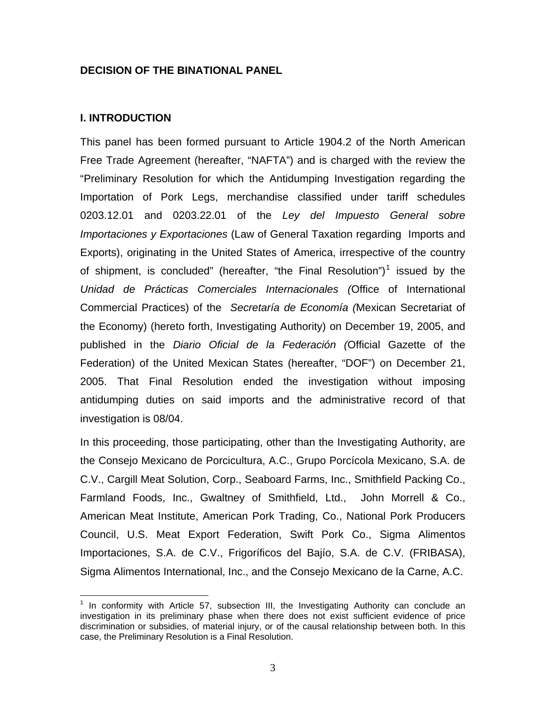#### **DECISION OF THE BINATIONAL PANEL**

#### **I. INTRODUCTION**

 $\overline{a}$ 

This panel has been formed pursuant to Article 1904.2 of the North American Free Trade Agreement (hereafter, "NAFTA") and is charged with the review the "Preliminary Resolution for which the Antidumping Investigation regarding the Importation of Pork Legs, merchandise classified under tariff schedules 0203.12.01 and 0203.22.01 of the *Ley del Impuesto General sobre Importaciones y Exportaciones* (Law of General Taxation regarding Imports and Exports), originating in the United States of America, irrespective of the country of shipment, is concluded" (hereafter, "the Final Resolution")<sup>[1](#page-2-0)</sup> issued by the *Unidad de Prácticas Comerciales Internacionales (*Office of International Commercial Practices) of the *Secretaría de Economía (*Mexican Secretariat of the Economy) (hereto forth, Investigating Authority) on December 19, 2005, and published in the *Diario Oficial de la Federación (*Official Gazette of the Federation) of the United Mexican States (hereafter, "DOF") on December 21, 2005. That Final Resolution ended the investigation without imposing antidumping duties on said imports and the administrative record of that investigation is 08/04.

In this proceeding, those participating, other than the Investigating Authority, are the Consejo Mexicano de Porcicultura, A.C., Grupo Porcícola Mexicano, S.A. de C.V., Cargill Meat Solution, Corp., Seaboard Farms, Inc., Smithfield Packing Co., Farmland Foods, Inc., Gwaltney of Smithfield, Ltd., John Morrell & Co., American Meat Institute, American Pork Trading, Co., National Pork Producers Council, U.S. Meat Export Federation, Swift Pork Co., Sigma Alimentos Importaciones, S.A. de C.V., Frigoríficos del Bajío, S.A. de C.V. (FRIBASA), Sigma Alimentos International, Inc., and the Consejo Mexicano de la Carne, A.C.

<span id="page-2-0"></span> $1$  In conformity with Article 57, subsection III, the Investigating Authority can conclude an investigation in its preliminary phase when there does not exist sufficient evidence of price discrimination or subsidies, of material injury, or of the causal relationship between both. In this case, the Preliminary Resolution is a Final Resolution.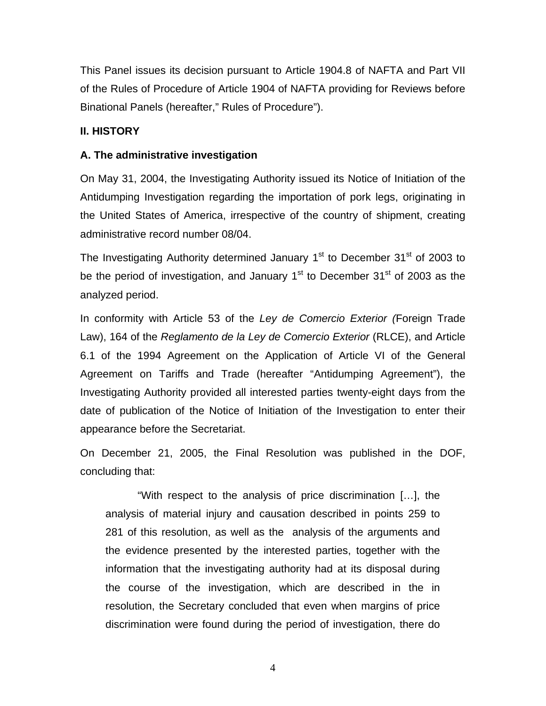This Panel issues its decision pursuant to Article 1904.8 of NAFTA and Part VII of the Rules of Procedure of Article 1904 of NAFTA providing for Reviews before Binational Panels (hereafter," Rules of Procedure").

### **II. HISTORY**

## **A. The administrative investigation**

On May 31, 2004, the Investigating Authority issued its Notice of Initiation of the Antidumping Investigation regarding the importation of pork legs, originating in the United States of America, irrespective of the country of shipment, creating administrative record number 08/04.

The Investigating Authority determined January  $1<sup>st</sup>$  to December 31 $<sup>st</sup>$  of 2003 to</sup> be the period of investigation, and January  $1<sup>st</sup>$  to December 31 $<sup>st</sup>$  of 2003 as the</sup> analyzed period.

In conformity with Article 53 of the *Ley de Comercio Exterior (*Foreign Trade Law), 164 of the *Reglamento de la Ley de Comercio Exterior* (RLCE), and Article 6.1 of the 1994 Agreement on the Application of Article VI of the General Agreement on Tariffs and Trade (hereafter "Antidumping Agreement"), the Investigating Authority provided all interested parties twenty-eight days from the date of publication of the Notice of Initiation of the Investigation to enter their appearance before the Secretariat.

On December 21, 2005, the Final Resolution was published in the DOF, concluding that:

"With respect to the analysis of price discrimination […], the analysis of material injury and causation described in points 259 to 281 of this resolution, as well as the analysis of the arguments and the evidence presented by the interested parties, together with the information that the investigating authority had at its disposal during the course of the investigation, which are described in the in resolution, the Secretary concluded that even when margins of price discrimination were found during the period of investigation, there do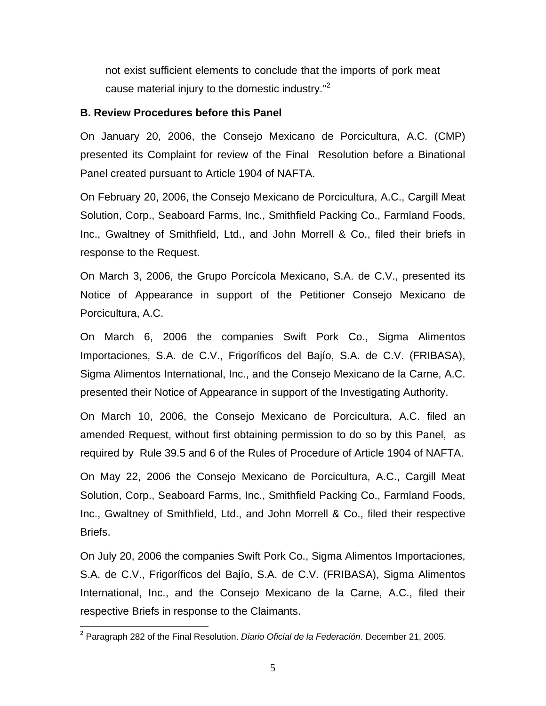not exist sufficient elements to conclude that the imports of pork meat cause material injury to the domestic industry."[2](#page-4-0)

#### **B. Review Procedures before this Panel**

On January 20, 2006, the Consejo Mexicano de Porcicultura, A.C. (CMP) presented its Complaint for review of the Final Resolution before a Binational Panel created pursuant to Article 1904 of NAFTA.

On February 20, 2006, the Consejo Mexicano de Porcicultura, A.C., Cargill Meat Solution, Corp., Seaboard Farms, Inc., Smithfield Packing Co., Farmland Foods, Inc., Gwaltney of Smithfield, Ltd., and John Morrell & Co., filed their briefs in response to the Request.

On March 3, 2006, the Grupo Porcícola Mexicano, S.A. de C.V., presented its Notice of Appearance in support of the Petitioner Consejo Mexicano de Porcicultura, A.C.

On March 6, 2006 the companies Swift Pork Co., Sigma Alimentos Importaciones, S.A. de C.V., Frigoríficos del Bajío, S.A. de C.V. (FRIBASA), Sigma Alimentos International, Inc., and the Consejo Mexicano de la Carne, A.C. presented their Notice of Appearance in support of the Investigating Authority.

On March 10, 2006, the Consejo Mexicano de Porcicultura, A.C. filed an amended Request, without first obtaining permission to do so by this Panel, as required by Rule 39.5 and 6 of the Rules of Procedure of Article 1904 of NAFTA.

On May 22, 2006 the Consejo Mexicano de Porcicultura, A.C., Cargill Meat Solution, Corp., Seaboard Farms, Inc., Smithfield Packing Co., Farmland Foods, Inc., Gwaltney of Smithfield, Ltd., and John Morrell & Co., filed their respective Briefs.

On July 20, 2006 the companies Swift Pork Co., Sigma Alimentos Importaciones, S.A. de C.V., Frigoríficos del Bajío, S.A. de C.V. (FRIBASA), Sigma Alimentos International, Inc., and the Consejo Mexicano de la Carne, A.C., filed their respective Briefs in response to the Claimants.

<span id="page-4-0"></span> 2 Paragraph 282 of the Final Resolution. *Diario Oficial de la Federación*. December 21, 2005.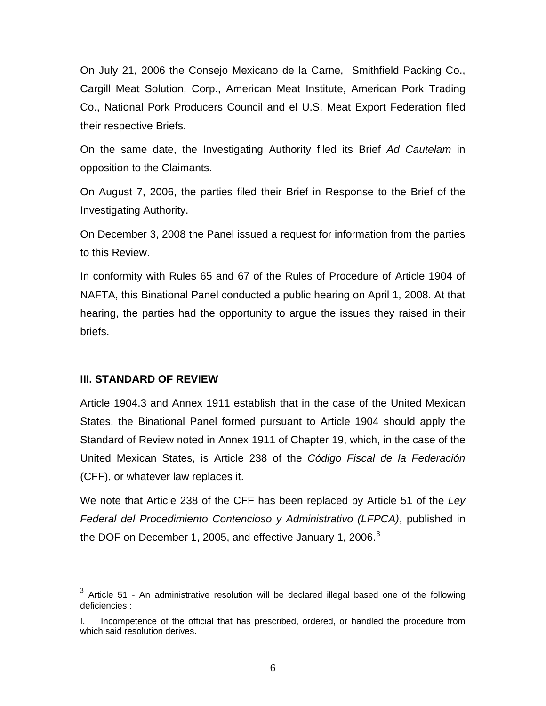On July 21, 2006 the Consejo Mexicano de la Carne, Smithfield Packing Co., Cargill Meat Solution, Corp., American Meat Institute, American Pork Trading Co., National Pork Producers Council and el U.S. Meat Export Federation filed their respective Briefs.

On the same date, the Investigating Authority filed its Brief *Ad Cautelam* in opposition to the Claimants.

On August 7, 2006, the parties filed their Brief in Response to the Brief of the Investigating Authority.

On December 3, 2008 the Panel issued a request for information from the parties to this Review.

In conformity with Rules 65 and 67 of the Rules of Procedure of Article 1904 of NAFTA, this Binational Panel conducted a public hearing on April 1, 2008. At that hearing, the parties had the opportunity to argue the issues they raised in their briefs.

#### **III. STANDARD OF REVIEW**

 $\overline{a}$ 

Article 1904.3 and Annex 1911 establish that in the case of the United Mexican States, the Binational Panel formed pursuant to Article 1904 should apply the Standard of Review noted in Annex 1911 of Chapter 19, which, in the case of the United Mexican States, is Article 238 of the *Código Fiscal de la Federación* (CFF), or whatever law replaces it.

We note that Article 238 of the CFF has been replaced by Article 51 of the *Ley Federal del Procedimiento Contencioso y Administrativo (LFPCA)*, published in the DOF on December 1, 2005, and effective January 1, 2006. $3$ 

<span id="page-5-0"></span> $3$  Article 51 - An administrative resolution will be declared illegal based one of the following deficiencies :

I. Incompetence of the official that has prescribed, ordered, or handled the procedure from which said resolution derives.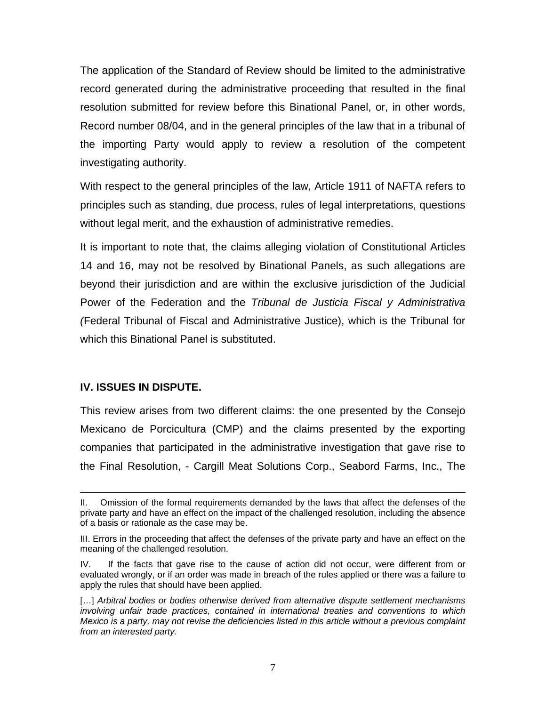The application of the Standard of Review should be limited to the administrative record generated during the administrative proceeding that resulted in the final resolution submitted for review before this Binational Panel, or, in other words, Record number 08/04, and in the general principles of the law that in a tribunal of the importing Party would apply to review a resolution of the competent investigating authority.

With respect to the general principles of the law, Article 1911 of NAFTA refers to principles such as standing, due process, rules of legal interpretations, questions without legal merit, and the exhaustion of administrative remedies.

It is important to note that, the claims alleging violation of Constitutional Articles 14 and 16, may not be resolved by Binational Panels, as such allegations are beyond their jurisdiction and are within the exclusive jurisdiction of the Judicial Power of the Federation and the *Tribunal de Justicia Fiscal y Administrativa (*Federal Tribunal of Fiscal and Administrative Justice), which is the Tribunal for which this Binational Panel is substituted.

#### **IV. ISSUES IN DISPUTE.**

 $\overline{a}$ 

This review arises from two different claims: the one presented by the Consejo Mexicano de Porcicultura (CMP) and the claims presented by the exporting companies that participated in the administrative investigation that gave rise to the Final Resolution, - Cargill Meat Solutions Corp., Seabord Farms, Inc., The

II. Omission of the formal requirements demanded by the laws that affect the defenses of the private party and have an effect on the impact of the challenged resolution, including the absence of a basis or rationale as the case may be.

III. Errors in the proceeding that affect the defenses of the private party and have an effect on the meaning of the challenged resolution.

IV. If the facts that gave rise to the cause of action did not occur, were different from or evaluated wrongly, or if an order was made in breach of the rules applied or there was a failure to apply the rules that should have been applied.

<sup>[...]</sup> Arbitral bodies or bodies otherwise derived from alternative dispute settlement mechanisms *involving unfair trade practices, contained in international treaties and conventions to which Mexico is a party, may not revise the deficiencies listed in this article without a previous complaint from an interested party.*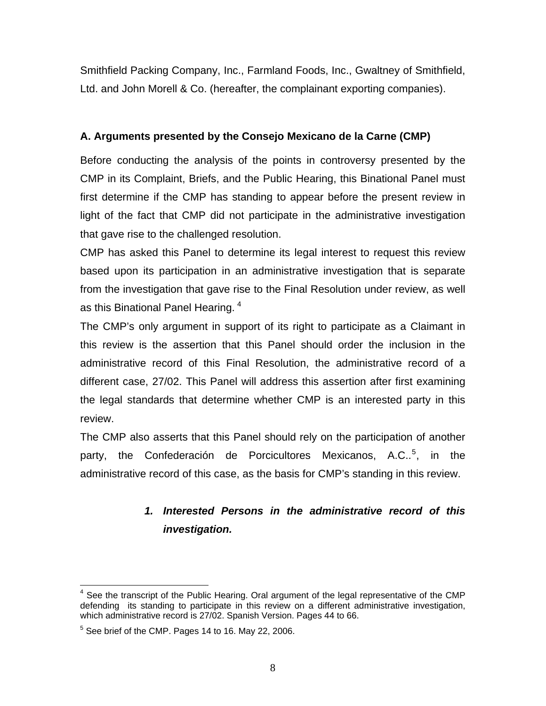Smithfield Packing Company, Inc., Farmland Foods, Inc., Gwaltney of Smithfield, Ltd. and John Morell & Co. (hereafter, the complainant exporting companies).

## **A. Arguments presented by the Consejo Mexicano de la Carne (CMP)**

Before conducting the analysis of the points in controversy presented by the CMP in its Complaint, Briefs, and the Public Hearing, this Binational Panel must first determine if the CMP has standing to appear before the present review in light of the fact that CMP did not participate in the administrative investigation that gave rise to the challenged resolution.

CMP has asked this Panel to determine its legal interest to request this review based upon its participation in an administrative investigation that is separate from the investigation that gave rise to the Final Resolution under review, as well as this Binational Panel Hearing.<sup>[4](#page-7-0)</sup>

The CMP's only argument in support of its right to participate as a Claimant in this review is the assertion that this Panel should order the inclusion in the administrative record of this Final Resolution, the administrative record of a different case, 27/02. This Panel will address this assertion after first examining the legal standards that determine whether CMP is an interested party in this review.

The CMP also asserts that this Panel should rely on the participation of another party, the Confederación de Porcicultores Mexicanos, A.C..<sup>[5](#page-7-1)</sup>, in the administrative record of this case, as the basis for CMP's standing in this review.

## *1. Interested Persons in the administrative record of this investigation.*

<span id="page-7-0"></span>**EXECUTE:**<br>4 See the transcript of the Public Hearing. Oral argument of the legal representative of the CMP defending its standing to participate in this review on a different administrative investigation, which administrative record is 27/02. Spanish Version. Pages 44 to 66.

<span id="page-7-1"></span> $5$  See brief of the CMP. Pages 14 to 16. May 22, 2006.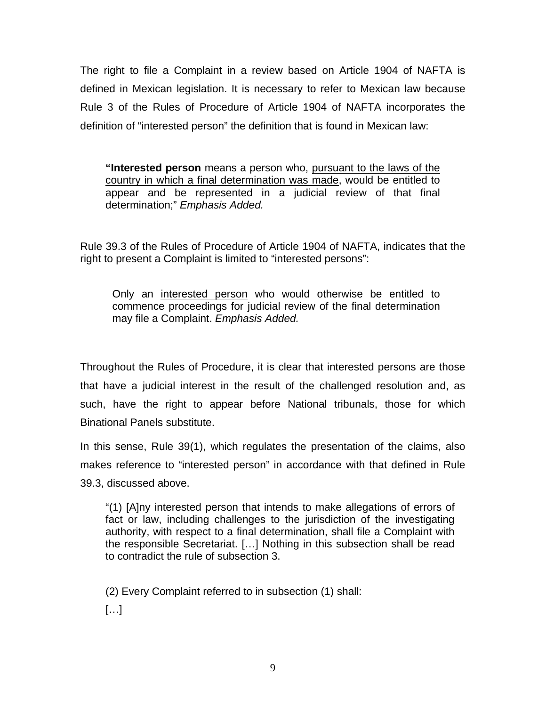The right to file a Complaint in a review based on Article 1904 of NAFTA is defined in Mexican legislation. It is necessary to refer to Mexican law because Rule 3 of the Rules of Procedure of Article 1904 of NAFTA incorporates the definition of "interested person" the definition that is found in Mexican law:

**"Interested person** means a person who, pursuant to the laws of the country in which a final determination was made, would be entitled to appear and be represented in a judicial review of that final determination;" *Emphasis Added.* 

Rule 39.3 of the Rules of Procedure of Article 1904 of NAFTA, indicates that the right to present a Complaint is limited to "interested persons":

Only an interested person who would otherwise be entitled to commence proceedings for judicial review of the final determination may file a Complaint. *Emphasis Added.* 

Throughout the Rules of Procedure, it is clear that interested persons are those that have a judicial interest in the result of the challenged resolution and, as such, have the right to appear before National tribunals, those for which Binational Panels substitute.

In this sense, Rule 39(1), which regulates the presentation of the claims, also makes reference to "interested person" in accordance with that defined in Rule 39.3, discussed above.

"(1) [A]ny interested person that intends to make allegations of errors of fact or law, including challenges to the jurisdiction of the investigating authority, with respect to a final determination, shall file a Complaint with the responsible Secretariat. […] Nothing in this subsection shall be read to contradict the rule of subsection 3.

(2) Every Complaint referred to in subsection (1) shall:

 $[...]$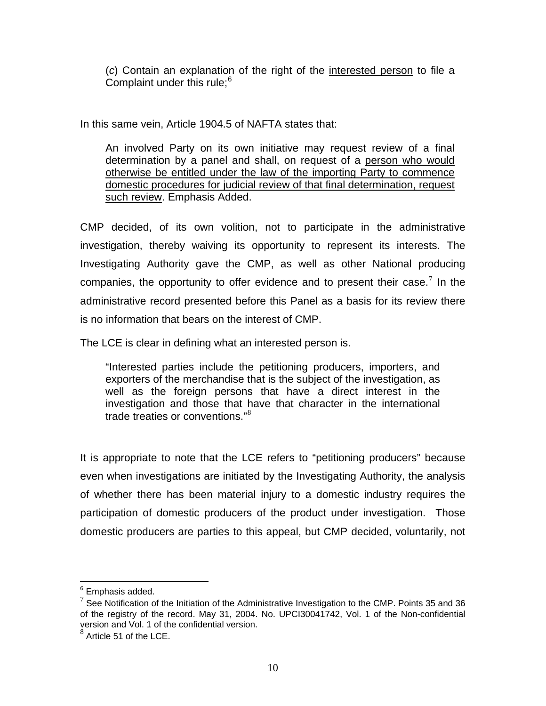(*c*) Contain an explanation of the right of the interested person to file a Complaint under this rule;<sup>[6](#page-9-0)</sup>

In this same vein, Article 1904.5 of NAFTA states that:

An involved Party on its own initiative may request review of a final determination by a panel and shall, on request of a person who would otherwise be entitled under the law of the importing Party to commence domestic procedures for judicial review of that final determination, request such review. Emphasis Added.

CMP decided, of its own volition, not to participate in the administrative investigation, thereby waiving its opportunity to represent its interests. The Investigating Authority gave the CMP, as well as other National producing companies, the opportunity to offer evidence and to present their case.<sup>[7](#page-9-1)</sup> In the administrative record presented before this Panel as a basis for its review there is no information that bears on the interest of CMP.

The LCE is clear in defining what an interested person is.

"Interested parties include the petitioning producers, importers, and exporters of the merchandise that is the subject of the investigation, as well as the foreign persons that have a direct interest in the investigation and those that have that character in the international trade treaties or conventions."<sup>[8](#page-9-2)</sup>

It is appropriate to note that the LCE refers to "petitioning producers" because even when investigations are initiated by the Investigating Authority, the analysis of whether there has been material injury to a domestic industry requires the participation of domestic producers of the product under investigation. Those domestic producers are parties to this appeal, but CMP decided, voluntarily, not

<sup>&</sup>lt;u>.</u><br><sup>6</sup> Emphasis added.

<span id="page-9-1"></span><span id="page-9-0"></span> $7$  See Notification of the Initiation of the Administrative Investigation to the CMP. Points 35 and 36 of the registry of the record. May 31, 2004. No. UPCI30041742, Vol. 1 of the Non-confidential version and Vol. 1 of the confidential version.

<span id="page-9-2"></span> $8$  Article 51 of the LCE.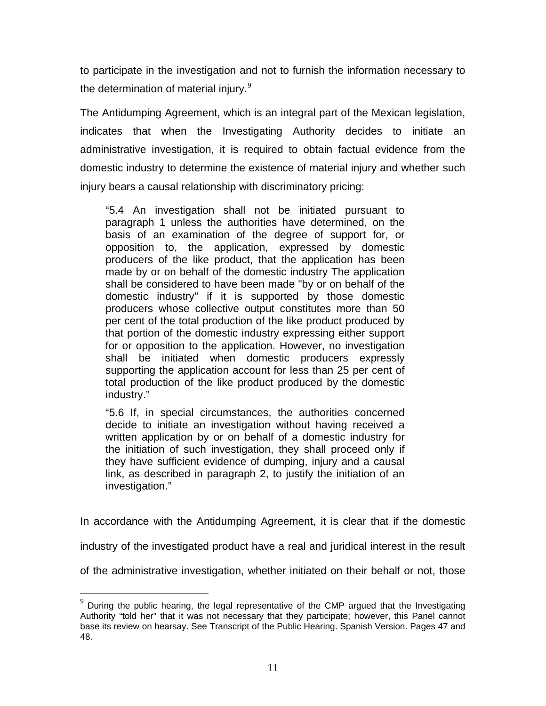to participate in the investigation and not to furnish the information necessary to the determination of material injury. $9$ 

The Antidumping Agreement, which is an integral part of the Mexican legislation, indicates that when the Investigating Authority decides to initiate an administrative investigation, it is required to obtain factual evidence from the domestic industry to determine the existence of material injury and whether such injury bears a causal relationship with discriminatory pricing:

"5.4 An investigation shall not be initiated pursuant to paragraph 1 unless the authorities have determined, on the basis of an examination of the degree of support for, or opposition to, the application, expressed by domestic producers of the like product, that the application has been made by or on behalf of the domestic industry The application shall be considered to have been made "by or on behalf of the domestic industry" if it is supported by those domestic producers whose collective output constitutes more than 50 per cent of the total production of the like product produced by that portion of the domestic industry expressing either support for or opposition to the application. However, no investigation shall be initiated when domestic producers expressly supporting the application account for less than 25 per cent of total production of the like product produced by the domestic industry."

"5.6 If, in special circumstances, the authorities concerned decide to initiate an investigation without having received a written application by or on behalf of a domestic industry for the initiation of such investigation, they shall proceed only if they have sufficient evidence of dumping, injury and a causal link, as described in paragraph 2, to justify the initiation of an investigation."

In accordance with the Antidumping Agreement, it is clear that if the domestic

industry of the investigated product have a real and juridical interest in the result

of the administrative investigation, whether initiated on their behalf or not, those

 $\overline{a}$ 

<span id="page-10-0"></span> $9$  During the public hearing, the legal representative of the CMP argued that the Investigating Authority "told her" that it was not necessary that they participate; however, this Panel cannot base its review on hearsay. See Transcript of the Public Hearing. Spanish Version. Pages 47 and 48.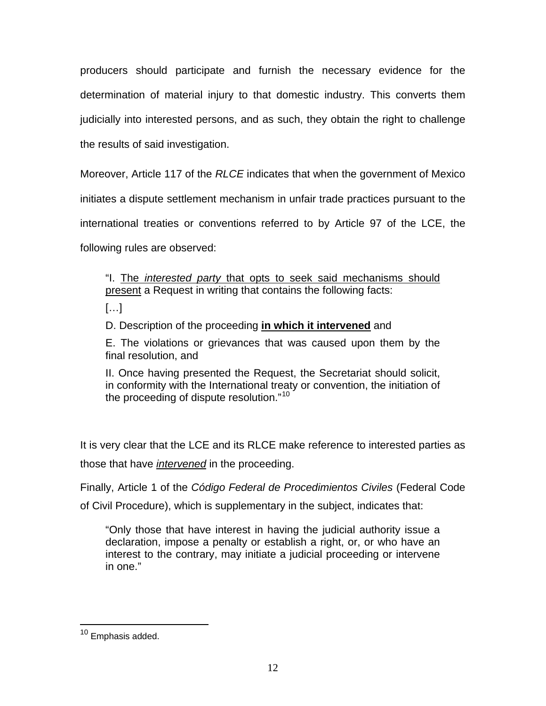producers should participate and furnish the necessary evidence for the determination of material injury to that domestic industry. This converts them judicially into interested persons, and as such, they obtain the right to challenge

the results of said investigation.

Moreover, Article 117 of the *RLCE* indicates that when the government of Mexico

initiates a dispute settlement mechanism in unfair trade practices pursuant to the

international treaties or conventions referred to by Article 97 of the LCE, the

following rules are observed:

"I. The *interested party* that opts to seek said mechanisms should present a Request in writing that contains the following facts:

 $[\ldots]$ 

D. Description of the proceeding **in which it intervened** and

E. The violations or grievances that was caused upon them by the final resolution, and

II. Once having presented the Request, the Secretariat should solicit, in conformity with the International treaty or convention, the initiation of the proceeding of dispute resolution."<sup>[10](#page-11-0)</sup>

It is very clear that the LCE and its RLCE make reference to interested parties as those that have *intervened* in the proceeding.

Finally, Article 1 of the *Código Federal de Procedimientos Civiles* (Federal Code of Civil Procedure), which is supplementary in the subject, indicates that:

"Only those that have interest in having the judicial authority issue a declaration, impose a penalty or establish a right, or, or who have an interest to the contrary, may initiate a judicial proceeding or intervene in one."

<span id="page-11-0"></span> $\overline{a}$ <sup>10</sup> Emphasis added.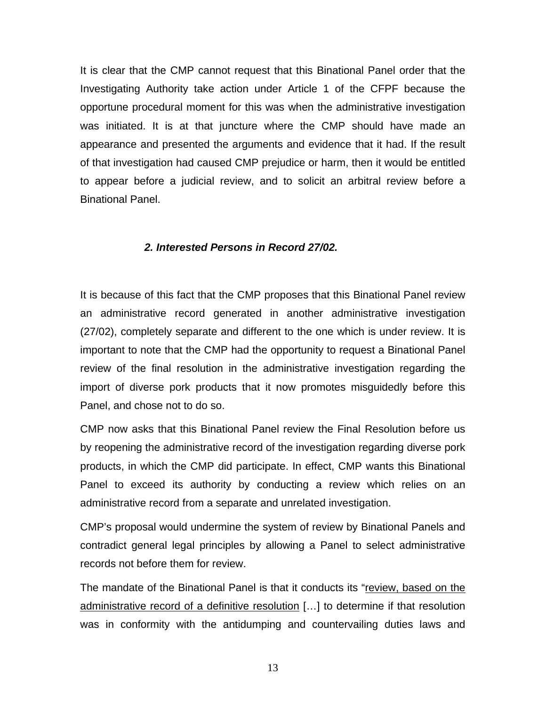It is clear that the CMP cannot request that this Binational Panel order that the Investigating Authority take action under Article 1 of the CFPF because the opportune procedural moment for this was when the administrative investigation was initiated. It is at that juncture where the CMP should have made an appearance and presented the arguments and evidence that it had. If the result of that investigation had caused CMP prejudice or harm, then it would be entitled to appear before a judicial review, and to solicit an arbitral review before a Binational Panel.

#### *2. Interested Persons in Record 27/02.*

It is because of this fact that the CMP proposes that this Binational Panel review an administrative record generated in another administrative investigation (27/02), completely separate and different to the one which is under review. It is important to note that the CMP had the opportunity to request a Binational Panel review of the final resolution in the administrative investigation regarding the import of diverse pork products that it now promotes misguidedly before this Panel, and chose not to do so.

CMP now asks that this Binational Panel review the Final Resolution before us by reopening the administrative record of the investigation regarding diverse pork products, in which the CMP did participate. In effect, CMP wants this Binational Panel to exceed its authority by conducting a review which relies on an administrative record from a separate and unrelated investigation.

CMP's proposal would undermine the system of review by Binational Panels and contradict general legal principles by allowing a Panel to select administrative records not before them for review.

The mandate of the Binational Panel is that it conducts its "review, based on the administrative record of a definitive resolution […] to determine if that resolution was in conformity with the antidumping and countervailing duties laws and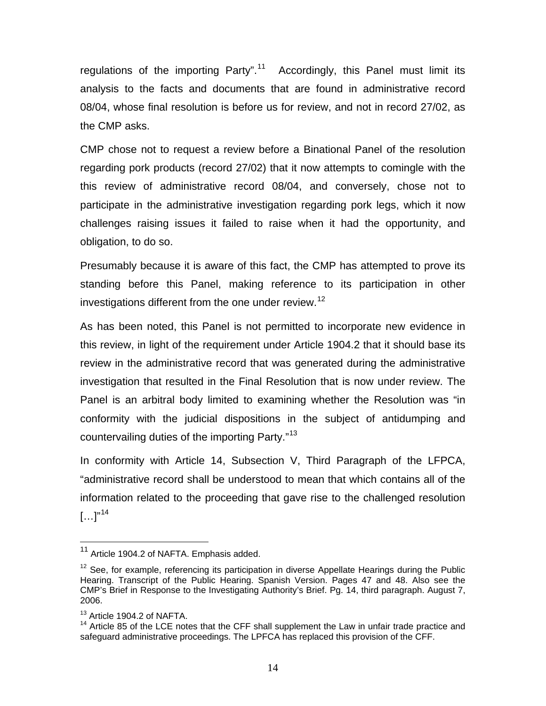regulations of the importing Party".<sup>[11](#page-13-0)</sup> Accordingly, this Panel must limit its analysis to the facts and documents that are found in administrative record 08/04, whose final resolution is before us for review, and not in record 27/02, as the CMP asks.

CMP chose not to request a review before a Binational Panel of the resolution regarding pork products (record 27/02) that it now attempts to comingle with the this review of administrative record 08/04, and conversely, chose not to participate in the administrative investigation regarding pork legs, which it now challenges raising issues it failed to raise when it had the opportunity, and obligation, to do so.

Presumably because it is aware of this fact, the CMP has attempted to prove its standing before this Panel, making reference to its participation in other investigations different from the one under review.<sup>[12](#page-13-1)</sup>

As has been noted, this Panel is not permitted to incorporate new evidence in this review, in light of the requirement under Article 1904.2 that it should base its review in the administrative record that was generated during the administrative investigation that resulted in the Final Resolution that is now under review. The Panel is an arbitral body limited to examining whether the Resolution was "in conformity with the judicial dispositions in the subject of antidumping and countervailing duties of the importing Party."[13](#page-13-2)

In conformity with Article 14, Subsection V, Third Paragraph of the LFPCA, "administrative record shall be understood to mean that which contains all of the information related to the proceeding that gave rise to the challenged resolution  $\left[ \ldots \right]^{n14}$  $\left[ \ldots \right]^{n14}$  $\left[ \ldots \right]^{n14}$ 

 $\overline{a}$ 

<span id="page-13-0"></span><sup>&</sup>lt;sup>11</sup> Article 1904.2 of NAFTA. Emphasis added.

<span id="page-13-1"></span> $12$  See, for example, referencing its participation in diverse Appellate Hearings during the Public Hearing. Transcript of the Public Hearing. Spanish Version. Pages 47 and 48. Also see the CMP's Brief in Response to the Investigating Authority's Brief. Pg. 14, third paragraph. August 7, 2006.

<span id="page-13-2"></span><sup>&</sup>lt;sup>13</sup> Article 1904.2 of NAFTA.

<span id="page-13-3"></span><sup>&</sup>lt;sup>14</sup> Article 85 of the LCE notes that the CFF shall supplement the Law in unfair trade practice and safeguard administrative proceedings. The LPFCA has replaced this provision of the CFF.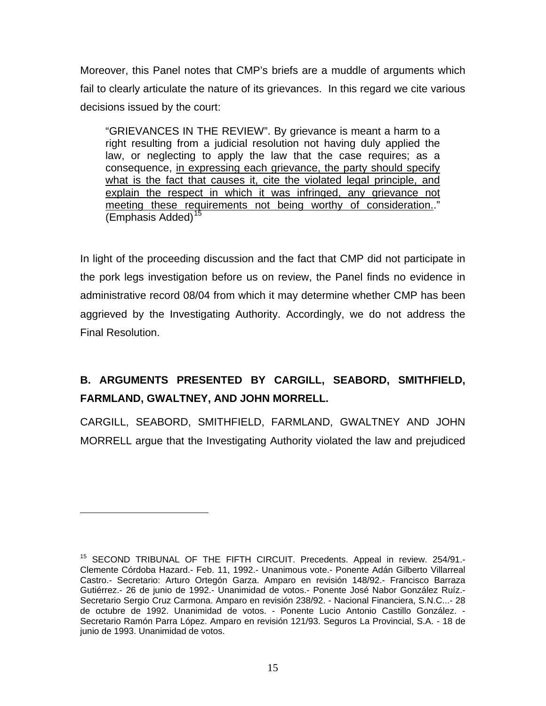Moreover, this Panel notes that CMP's briefs are a muddle of arguments which fail to clearly articulate the nature of its grievances. In this regard we cite various decisions issued by the court:

"GRIEVANCES IN THE REVIEW". By grievance is meant a harm to a right resulting from a judicial resolution not having duly applied the law, or neglecting to apply the law that the case requires; as a consequence, in expressing each grievance, the party should specify what is the fact that causes it, cite the violated legal principle, and explain the respect in which it was infringed, any grievance not meeting these requirements not being worthy of consideration.." (Emphasis Added)<sup>[15](#page-14-0)</sup>

In light of the proceeding discussion and the fact that CMP did not participate in the pork legs investigation before us on review, the Panel finds no evidence in administrative record 08/04 from which it may determine whether CMP has been aggrieved by the Investigating Authority. Accordingly, we do not address the Final Resolution.

# **B. ARGUMENTS PRESENTED BY CARGILL, SEABORD, SMITHFIELD, FARMLAND, GWALTNEY, AND JOHN MORRELL.**

CARGILL, SEABORD, SMITHFIELD, FARMLAND, GWALTNEY AND JOHN MORRELL argue that the Investigating Authority violated the law and prejudiced

 $\overline{a}$ 

<span id="page-14-0"></span><sup>&</sup>lt;sup>15</sup> SECOND TRIBUNAL OF THE FIFTH CIRCUIT. Precedents. Appeal in review. 254/91.-Clemente Córdoba Hazard.- Feb. 11, 1992.- Unanimous vote.- Ponente Adán Gilberto Villarreal Castro.- Secretario: Arturo Ortegón Garza. Amparo en revisión 148/92.- Francisco Barraza Gutiérrez.- 26 de junio de 1992.- Unanimidad de votos.- Ponente José Nabor González Ruíz.- Secretario Sergio Cruz Carmona. Amparo en revisión 238/92. - Nacional Financiera, S.N.C...- 28 de octubre de 1992. Unanimidad de votos. - Ponente Lucio Antonio Castillo González. - Secretario Ramón Parra López. Amparo en revisión 121/93. Seguros La Provincial, S.A. - 18 de junio de 1993. Unanimidad de votos.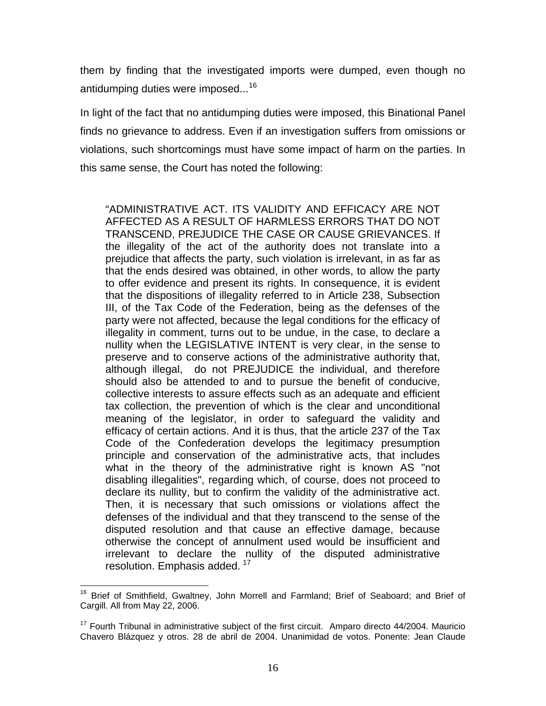them by finding that the investigated imports were dumped, even though no antidumping duties were imposed...<sup>[16](#page-15-0)</sup>

In light of the fact that no antidumping duties were imposed, this Binational Panel finds no grievance to address. Even if an investigation suffers from omissions or violations, such shortcomings must have some impact of harm on the parties. In this same sense, the Court has noted the following:

"ADMINISTRATIVE ACT. ITS VALIDITY AND EFFICACY ARE NOT AFFECTED AS A RESULT OF HARMLESS ERRORS THAT DO NOT TRANSCEND, PREJUDICE THE CASE OR CAUSE GRIEVANCES. If the illegality of the act of the authority does not translate into a prejudice that affects the party, such violation is irrelevant, in as far as that the ends desired was obtained, in other words, to allow the party to offer evidence and present its rights. In consequence, it is evident that the dispositions of illegality referred to in Article 238, Subsection III, of the Tax Code of the Federation, being as the defenses of the party were not affected, because the legal conditions for the efficacy of illegality in comment, turns out to be undue, in the case, to declare a nullity when the LEGISLATIVE INTENT is very clear, in the sense to preserve and to conserve actions of the administrative authority that, although illegal, do not PREJUDICE the individual, and therefore should also be attended to and to pursue the benefit of conducive, collective interests to assure effects such as an adequate and efficient tax collection, the prevention of which is the clear and unconditional meaning of the legislator, in order to safeguard the validity and efficacy of certain actions. And it is thus, that the article 237 of the Tax Code of the Confederation develops the legitimacy presumption principle and conservation of the administrative acts, that includes what in the theory of the administrative right is known AS "not disabling illegalities", regarding which, of course, does not proceed to declare its nullity, but to confirm the validity of the administrative act. Then, it is necessary that such omissions or violations affect the defenses of the individual and that they transcend to the sense of the disputed resolution and that cause an effective damage, because otherwise the concept of annulment used would be insufficient and irrelevant to declare the nullity of the disputed administrative resolution. Emphasis added.<sup>[17](#page-15-1)</sup>

<span id="page-15-0"></span> $\overline{a}$ <sup>16</sup> Brief of Smithfield, Gwaltney, John Morrell and Farmland; Brief of Seaboard; and Brief of Cargill. All from May 22, 2006.

<span id="page-15-1"></span> $17$  Fourth Tribunal in administrative subject of the first circuit. Amparo directo 44/2004. Mauricio Chavero Blázquez y otros. 28 de abril de 2004. Unanimidad de votos. Ponente: Jean Claude